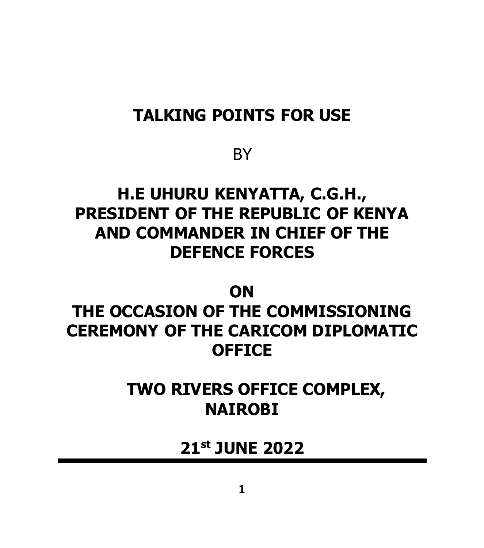### **TALKING POINTS FOR USE**

#### **BY**

## **H.E UHURU KENYATTA, C.G.H., PRESIDENT OF THE REPUBLIC OF KENYA AND COMMANDER IN CHIEF OF THE DEFENCE FORCES**

#### **ON**

## **THE OCCASION OF THE COMMISSIONING CEREMONY OF THE CARICOM DIPLOMATIC OFFICE**

### **TWO RIVERS OFFICE COMPLEX, NAIROBI**

### **21st JUNE 2022**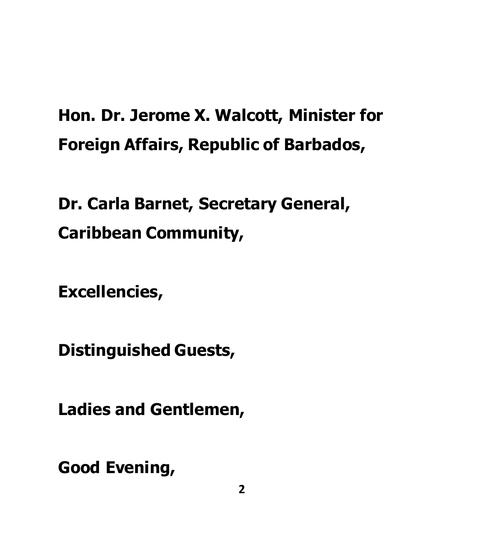# **Hon. Dr. Jerome X. Walcott, Minister for Foreign Affairs, Republic of Barbados,**

# **Dr. Carla Barnet, Secretary General, Caribbean Community,**

**Excellencies,** 

**Distinguished Guests,** 

**Ladies and Gentlemen,**

**Good Evening,**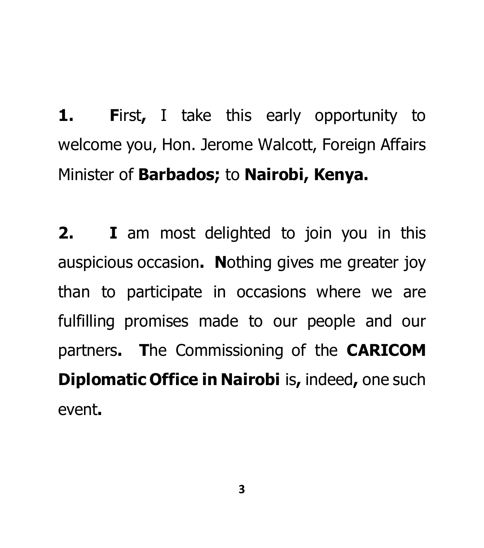**1. F**irst**,** I take this early opportunity to welcome you, Hon. Jerome Walcott, Foreign Affairs Minister of **Barbados;** to **Nairobi, Kenya.**

**2. I** am most delighted to join you in this auspicious occasion**. N**othing gives me greater joy than to participate in occasions where we are fulfilling promises made to our people and our partners**. T**he Commissioning of the **CARICOM Diplomatic Office in Nairobi** is**,** indeed**,** one such event**.**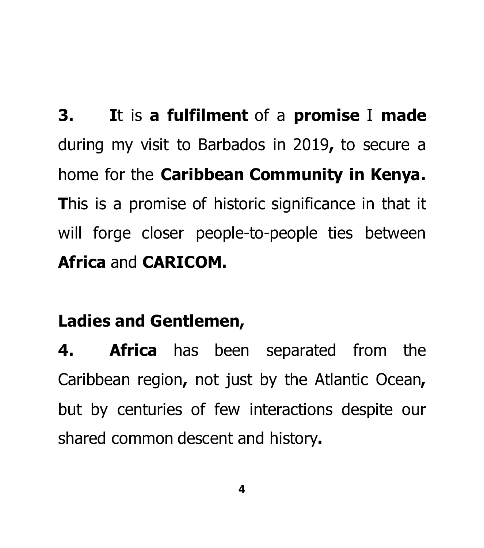**3. I**t is **a fulfilment** of a **promise** I **made**  during my visit to Barbados in 2019**,** to secure a home for the **Caribbean Community in Kenya. T**his is a promise of historic significance in that it will forge closer people-to-people ties between **Africa** and **CARICOM.** 

# **Ladies and Gentlemen,**

**4. Africa** has been separated from the Caribbean region**,** not just by the Atlantic Ocean**,**  but by centuries of few interactions despite our shared common descent and history**.**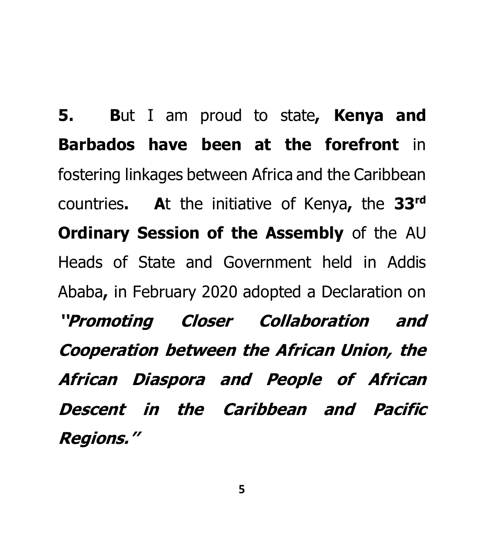**5. B**ut I am proud to state**, Kenya and Barbados have been at the forefront** in fostering linkages between Africa and the Caribbean countries**. A**t the initiative of Kenya**,** the **33rd Ordinary Session of the Assembly** of the AU Heads of State and Government held in Addis Ababa**,** in February 2020 adopted a Declaration on **''Promoting Closer Collaboration and Cooperation between the African Union, the African Diaspora and People of African Descent in the Caribbean and Pacific Regions.''**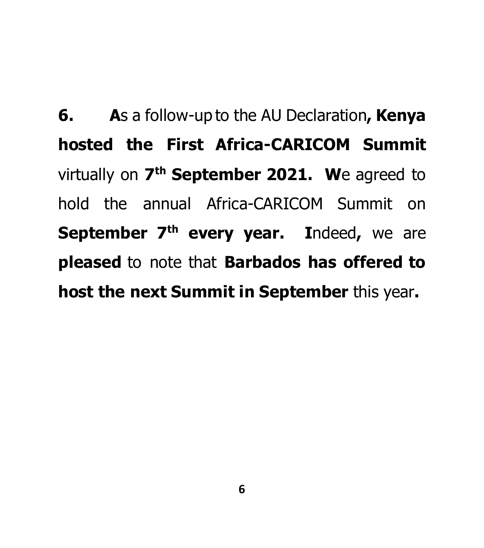**6. A**s a follow-up to the AU Declaration**, Kenya hosted the First Africa-CARICOM Summit**  virtually on **7 th September 2021. W**e agreed to hold the annual Africa-CARICOM Summit on **September 7th every year. I**ndeed**,** we are **pleased** to note that **Barbados has offered to host the next Summit in September** this year**.**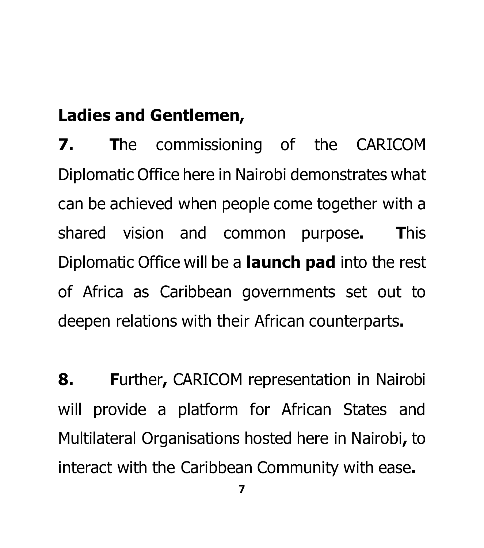## **Ladies and Gentlemen,**

**7. T**he commissioning of the CARICOM Diplomatic Office here in Nairobi demonstrates what can be achieved when people come together with a shared vision and common purpose**. T**his Diplomatic Office will be a **launch pad** into the rest of Africa as Caribbean governments set out to deepen relations with their African counterparts**.** 

**8. F**urther**,** CARICOM representation in Nairobi will provide a platform for African States and Multilateral Organisations hosted here in Nairobi**,** to interact with the Caribbean Community with ease**.**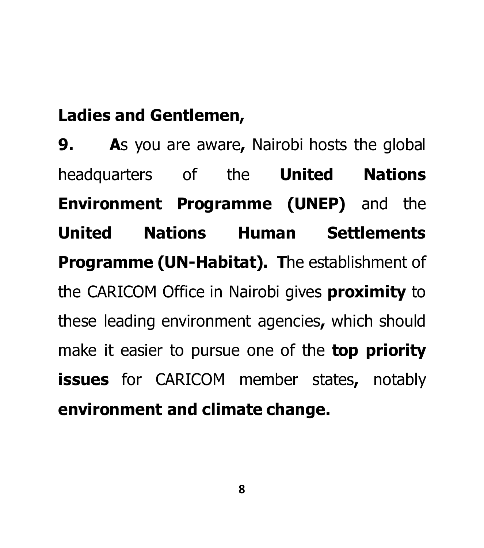## **Ladies and Gentlemen,**

**9. A**s you are aware**,** Nairobi hosts the global headquarters of the **United Nations Environment Programme (UNEP)** and the **United Nations Human Settlements Programme (UN-Habitat). T**he establishment of the CARICOM Office in Nairobi gives **proximity** to these leading environment agencies**,** which should make it easier to pursue one of the **top priority issues** for CARICOM member states**,** notably **environment and climate change.**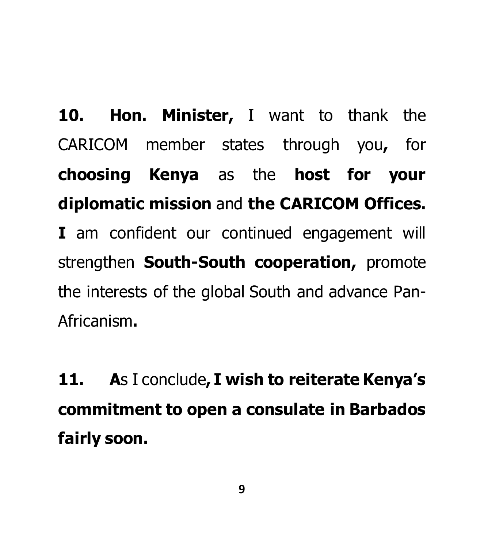**10. Hon. Minister,** I want to thank the CARICOM member states through you**,** for **choosing Kenya** as the **host for your diplomatic mission** and **the CARICOM Offices. I** am confident our continued engagement will strengthen **South-South cooperation,** promote the interests of the global South and advance Pan-Africanism**.**

**11. A**s I conclude**, I wish to reiterate Kenya's commitment to open a consulate in Barbados fairly soon.**